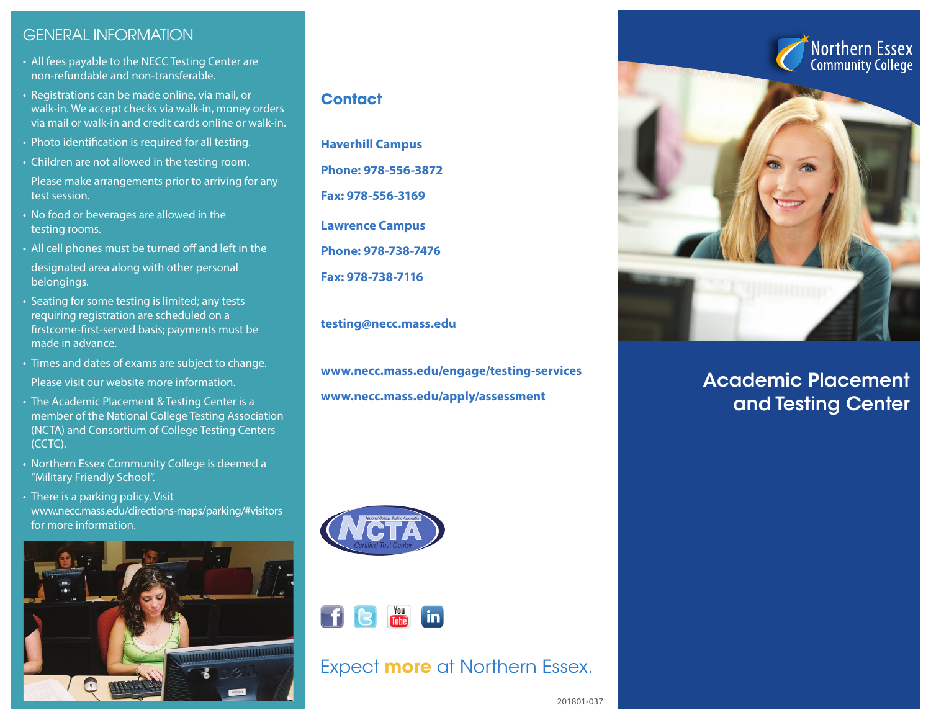# GENERAL INFORMATION

- All fees payable to the NECC Testing Center are non-refundable and non-transferable.
- Registrations can be made online, via mail, or walk-in. We accept checks via walk-in, money orders via mail or walk-in and credit cards online or walk-in.
- Photo identification is required for all testing.
- Children are not allowed in the testing room.
- Please make arrangements prior to arriving for any test session.
- No food or beverages are allowed in the testing rooms.
- All cell phones must be turned off and left in the
- designated area along with other personal belongings.
- Seating for some testing is limited; any tests requiring registration are scheduled on a firstcome-first-served basis; payments must be made in advance.
- Times and dates of exams are subject to change. Please visit our website more information.
- The Academic Placement & Testing Center is a member of the National College Testing Association (NCTA) and Consortium of College Testing Centers (CCTC).
- Northern Essex Community College is deemed a "Military Friendly School".
- There is a parking policy. Visit www.necc.mass.edu/directions-maps/parking/#visitors for more information.



## **Contact**

**Haverhill Campus Phone: 978-556-3872 Fax: 978-556-3169 Lawrence Campus Phone: 978-738-7476 Fax: 978-738-7116** 

**testing@necc.mass.edu**

**www.necc.mass.edu/engage/testing-services www.necc.mass.edu/apply/assessment**



# Academic Placement and Testing Center





# Expect **more** at Northern Essex.